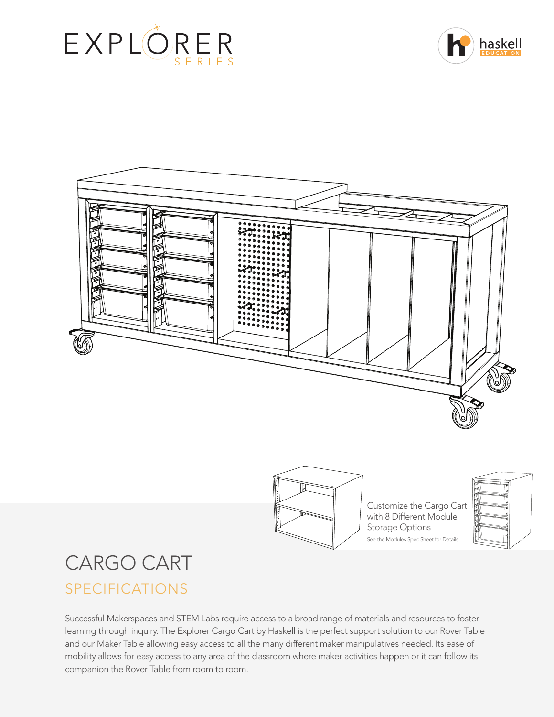







Customize the Cargo Cart with 8 Different Module Storage Options See the Modules Spec Sheet for Details



# CARGO CART SPECIFICATIONS

Successful Makerspaces and STEM Labs require access to a broad range of materials and resources to foster learning through inquiry. The Explorer Cargo Cart by Haskell is the perfect support solution to our Rover Table and our Maker Table allowing easy access to all the many different maker manipulatives needed. Its ease of mobility allows for easy access to any area of the classroom where maker activities happen or it can follow its companion the Rover Table from room to room.